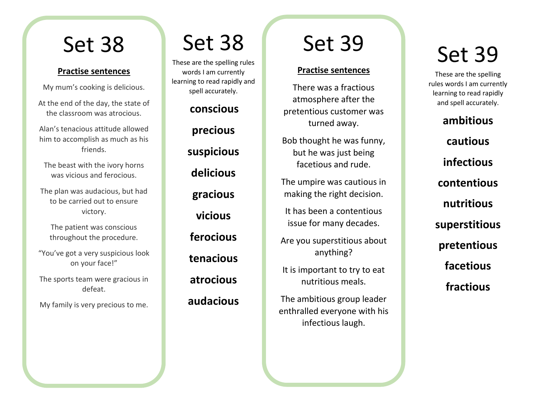#### **Practise sentences**

My mum's cooking is delicious.

At the end of the day, the state of the classroom was atrocious.

Alan's tenacious attitude allowed him to accomplish as much as his friends.

The beast with the ivory horns was vicious and ferocious.

The plan was audacious, but had to be carried out to ensure victory.

The patient was conscious throughout the procedure.

"You've got a very suspicious look on your face!"

The sports team were gracious in defeat.

My family is very precious to me.

### Set 38

These are the spelling rules words I am currently learning to read rapidly and spell accurately.

**conscious**

**precious suspicious delicious gracious vicious ferocious tenacious atrocious audacious**

## Set 39

#### **Practise sentences**

There was a fractious atmosphere after the pretentious customer was turned away.

Bob thought he was funny, but he was just being facetious and rude.

The umpire was cautious in making the right decision.

It has been a contentious issue for many decades.

Are you superstitious about anything?

It is important to try to eat nutritious meals.

The ambitious group leader enthralled everyone with his infectious laugh.

## Set 39

These are the spelling rules words I am currently learning to read rapidly and spell accurately.

**ambitious cautious infectious contentious nutritious superstitious pretentious facetious fractious**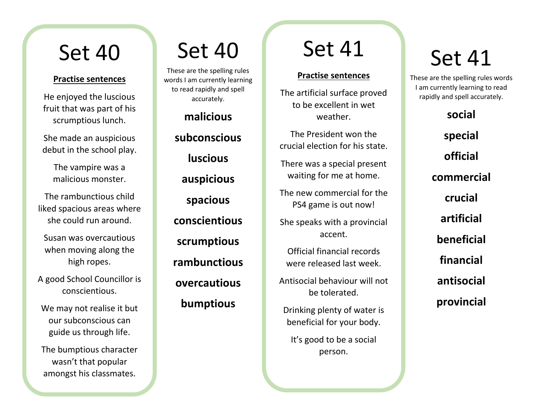#### **Practise sentences**

He enjoyed the luscious fruit that was part of his scrumptious lunch.

She made an auspicious debut in the school play.

> The vampire was a malicious monster.

The rambunctious child liked spacious areas where she could run around.

Susan was overcautious when moving along the high ropes.

A good School Councillor is conscientious.

We may not realise it but our subconscious can guide us through life.

The bumptious character wasn't that popular amongst his classmates.

## Set 40

These are the spelling rules words I am currently learning to read rapidly and spell accurately.

### **malicious**

**subconscious luscious auspicious spacious conscientious scrumptious rambunctious overcautious bumptious**

## Set 41

### **Practise sentences**

The artificial surface proved to be excellent in wet weather.

The President won the crucial election for his state.

There was a special present waiting for me at home.

The new commercial for the PS4 game is out now!

She speaks with a provincial accent.

Official financial records were released last week.

Antisocial behaviour will not be tolerated.

Drinking plenty of water is beneficial for your body.

It's good to be a social person.

# Set 41

These are the spelling rules words I am currently learning to read rapidly and spell accurately.

**social**

**special official commercial crucial artificial beneficial financial**

**antisocial**

**provincial**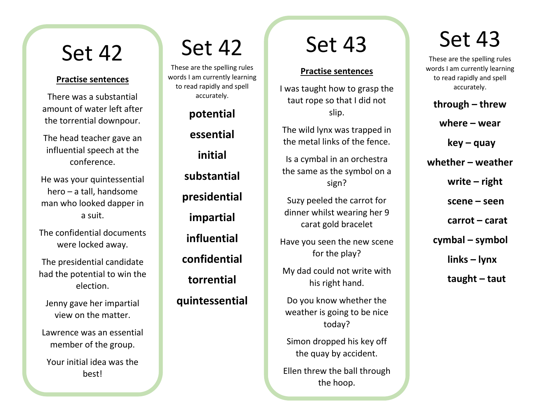#### **Practise sentences**

There was a substantial amount of water left after the torrential downpour.

The head teacher gave an influential speech at the conference.

He was your quintessential hero – a tall, handsome man who looked dapper in a suit.

The confidential documents were locked away.

The presidential candidate had the potential to win the election.

Jenny gave her impartial view on the matter.

Lawrence was an essential member of the group.

Your initial idea was the best!

## Set 42

These are the spelling rules words I am currently learning to read rapidly and spell accurately.

**potential**

**essential initial substantial presidential impartial influential confidential torrential quintessential**

## Set 43

#### **Practise sentences**

I was taught how to grasp the taut rope so that I did not slip.

The wild lynx was trapped in the metal links of the fence.

Is a cymbal in an orchestra the same as the symbol on a sign?

Suzy peeled the carrot for dinner whilst wearing her 9 carat gold bracelet

Have you seen the new scene for the play?

My dad could not write with his right hand.

Do you know whether the weather is going to be nice today?

Simon dropped his key off the quay by accident.

Ellen threw the ball through the hoop.

I wonder where I can wear

## Set 43

These are the spelling rules words I am currently learning to read rapidly and spell accurately.

**through – threw**

**where – wear**

**key – quay**

**whether – weather**

**write – right**

**scene – seen**

**carrot – carat**

 **cymbal – symbol**

**links – lynx**

**taught – taut**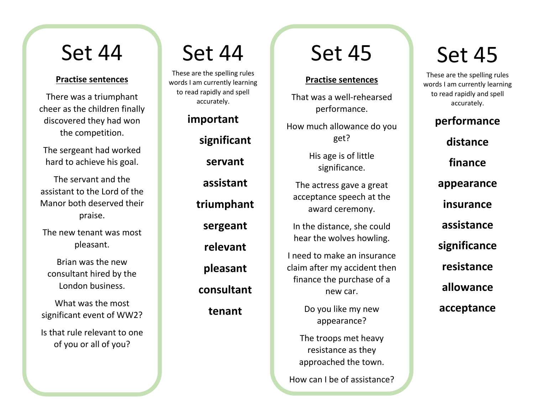#### **Practise sentences**

There was a triumphant cheer as the children finally discovered they had won the competition.

The sergeant had worked hard to achieve his goal.

The servant and the assistant to the Lord of the Manor both deserved their praise.

The new tenant was most pleasant.

Brian was the new consultant hired by the London business.

What was the most significant event of WW2?

Is that rule relevant to one of you or all of you?

### Set 44

These are the spelling rules words I am currently learning to read rapidly and spell accurately.

> **important significant servant assistant triumphant sergeant relevant pleasant consultant tenant**

### Set 45

#### **Practise sentences**

That was a well-rehearsed performance.

How much allowance do you get?

> His age is of little significance.

The actress gave a great acceptance speech at the award ceremony.

In the distance, she could hear the wolves howling.

I need to make an insurance claim after my accident then finance the purchase of a new car.

> Do you like my new appearance?

The troops met heavy resistance as they approached the town.

How can I be of assistance?

## Set 45

These are the spelling rules words I am currently learning to read rapidly and spell accurately.

> **performance distance finance appearance insurance assistance significance resistance allowance acceptance**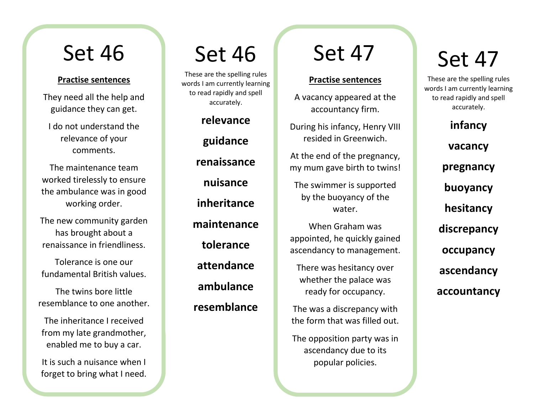#### **Practise sentences**

They need all the help and guidance they can get.

I do not understand the relevance of your comments.

The maintenance team worked tirelessly to ensure the ambulance was in good working order.

The new community garden has brought about a renaissance in friendliness.

Tolerance is one our fundamental British values.

The twins bore little resemblance to one another.

The inheritance I received from my late grandmother, enabled me to buy a car.

It is such a nuisance when I forget to bring what I need.

## Set 46

These are the spelling rules words I am currently learning to read rapidly and spell accurately.

> **relevance guidance renaissance nuisance inheritance maintenance tolerance attendance ambulance resemblance**

## Set 47

### **Practise sentences**

A vacancy appeared at the accountancy firm.

During his infancy, Henry VIII resided in Greenwich.

At the end of the pregnancy, my mum gave birth to twins!

The swimmer is supported by the buoyancy of the water.

When Graham was appointed, he quickly gained ascendancy to management.

There was hesitancy over whether the palace was ready for occupancy.

The was a discrepancy with the form that was filled out.

The opposition party was in ascendancy due to its popular policies.

# Set 47

These are the spelling rules words I am currently learning to read rapidly and spell accurately.

**infancy**

**vacancy**

**pregnancy**

**buoyancy**

**hesitancy**

**discrepancy**

**occupancy**

**ascendancy**

**accountancy**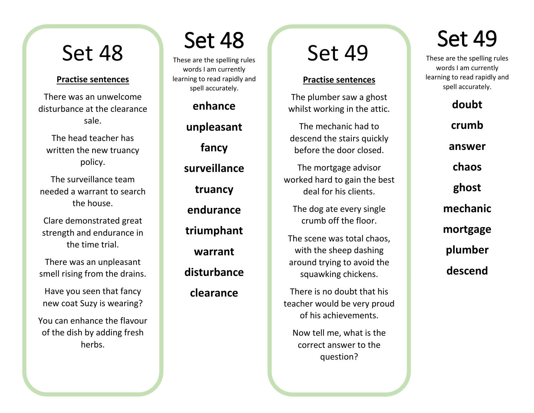#### **Practise sentences**

There was an unwelcome disturbance at the clearance sale.

The head teacher has written the new truancy policy.

The surveillance team needed a warrant to search the house.

Clare demonstrated great strength and endurance in the time trial.

There was an unpleasant smell rising from the drains.

Have you seen that fancy new coat Suzy is wearing?

You can enhance the flavour of the dish by adding fresh herbs.

# Set 48

These are the spelling rules words I am currently learning to read rapidly and spell accurately.

> **enhance unpleasant fancy surveillance truancy endurance triumphant warrant disturbance clearance**

### Set 49

### **Practise sentences**

The plumber saw a ghost whilst working in the attic.

The mechanic had to descend the stairs quickly before the door closed.

The mortgage advisor worked hard to gain the best deal for his clients.

The dog ate every single crumb off the floor.

The scene was total chaos, with the sheep dashing around trying to avoid the squawking chickens.

There is no doubt that his teacher would be very proud of his achievements.

Now tell me, what is the correct answer to the question?

## Set 49

These are the spelling rules words I am currently learning to read rapidly and spell accurately.

> **doubt crumb answer chaos ghost mechanic mortgage plumber descend**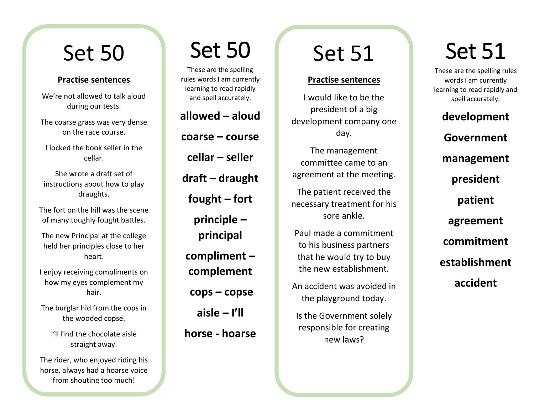#### **Practise sentences**

We're not allowed to talk aloud during our tests.

The coarse grass was very dense on the race course.

I locked the book seller in the cellar.

She wrote a draft set of instructions about how to play draughts.

The fort on the hill was the scene of many toughly fought battles.

The new Principal at the college held her principles close to her heart.

I enjoy receiving compliments on how my eyes complement my hair.

The burglar hid from the cops in the wooded copse.

I'll find the chocolate aisle straight away.

The rider, who enjoyed riding his horse, always had a hoarse voice from shouting too much!

## Set 50

These are the spelling rules words I am currently learning to read rapidly and spell accurately.

**allowed – aloud coarse – course cellar – seller draft – draught fought – fort principle – principal compliment – complement cops – copse aisle – I'll horse - hoarse**

# Set 51

#### **Practise sentences**

I would like to be the president of a big development company one day.

The management committee came to an agreement at the meeting.

The patient received the necessary treatment for his sore ankle.

Paul made a commitment to his business partners that he would try to buy the new establishment.

An accident was avoided in the playground today.

Is the Government solely responsible for creating new laws?

# Set 51

These are the spelling rules words I am currently learning to read rapidly and spell accurately.

**development Government management president patient agreement commitment establishment accident**